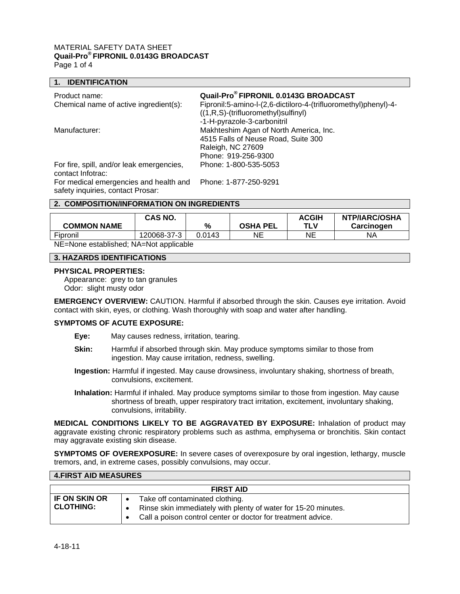### MATERIAL SAFETY DATA SHEET **Quail-Pro® FIPRONIL 0.0143G BROADCAST**  Page 1 of 4

### **1. IDENTIFICATION**

| Product name:                                                               | Quail-Pro®FIPRONIL 0.0143G BROADCAST                            |
|-----------------------------------------------------------------------------|-----------------------------------------------------------------|
| Chemical name of active ingredient(s):                                      | Fipronil:5-amino-l-(2,6-dictiloro-4-(trifluoromethyl)phenyl)-4- |
|                                                                             | $((1,R,S)-(trifluorometry)$ sulfinyl)                           |
|                                                                             | -1-H-pyrazole-3-carbonitril                                     |
| Manufacturer:                                                               | Makhteshim Agan of North America, Inc.                          |
|                                                                             | 4515 Falls of Neuse Road, Suite 300                             |
|                                                                             | Raleigh, NC 27609                                               |
|                                                                             | Phone: 919-256-9300                                             |
| For fire, spill, and/or leak emergencies,<br>contact Infotrac:              | Phone: 1-800-535-5053                                           |
| For medical emergencies and health and<br>safety inquiries, contact Prosar: | Phone: 1-877-250-9291                                           |

## **2. COMPOSITION/INFORMATION ON INGREDIENTS**

|                                        | <b>CAS NO.</b> |        |                 | <b>ACGIH</b> | <b>NTP/IARC/OSHA</b> |
|----------------------------------------|----------------|--------|-----------------|--------------|----------------------|
| <b>COMMON NAME</b>                     |                | %      | <b>OSHA PEL</b> | TLV          | Carcinogen           |
| Fipronil                               | 120068-37-3    | 0.0143 | ΝE              | ΝE           | NA                   |
| NE=None established; NA=Not applicable |                |        |                 |              |                      |

### **3. HAZARDS IDENTIFICATIONS**

#### **PHYSICAL PROPERTIES:**

Appearance: grey to tan granules Odor: slight musty odor

**EMERGENCY OVERVIEW:** CAUTION. Harmful if absorbed through the skin. Causes eye irritation. Avoid contact with skin, eyes, or clothing. Wash thoroughly with soap and water after handling.

### **SYMPTOMS OF ACUTE EXPOSURE:**

- **Eye:** May causes redness, irritation, tearing.
- **Skin:** Harmful if absorbed through skin. May produce symptoms similar to those from ingestion. May cause irritation, redness, swelling.
- **Ingestion:** Harmful if ingested. May cause drowsiness, involuntary shaking, shortness of breath, convulsions, excitement.

**Inhalation:** Harmful if inhaled. May produce symptoms similar to those from ingestion. May cause shortness of breath, upper respiratory tract irritation, excitement, involuntary shaking, convulsions, irritability.

**MEDICAL CONDITIONS LIKELY TO BE AGGRAVATED BY EXPOSURE:** Inhalation of product may aggravate existing chronic respiratory problems such as asthma, emphysema or bronchitis. Skin contact may aggravate existing skin disease.

**SYMPTOMS OF OVEREXPOSURE:** In severe cases of overexposure by oral ingestion, lethargy, muscle tremors, and, in extreme cases, possibly convulsions, may occur.

# **4.FIRST AID MEASURES**

| <b>FIRST AID</b>                         |                                                                                                                                                                   |  |  |
|------------------------------------------|-------------------------------------------------------------------------------------------------------------------------------------------------------------------|--|--|
| <b>IF ON SKIN OR</b><br><b>CLOTHING:</b> | Take off contaminated clothing.<br>Rinse skin immediately with plenty of water for 15-20 minutes.<br>Call a poison control center or doctor for treatment advice. |  |  |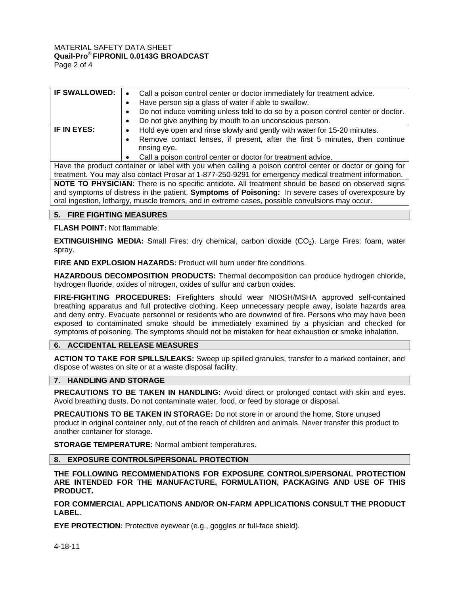## MATERIAL SAFETY DATA SHEET **Quail-Pro® FIPRONIL 0.0143G BROADCAST**  Page 2 of 4

| <b>IF SWALLOWED:</b>                                                                                     | Call a poison control center or doctor immediately for treatment advice.                              |
|----------------------------------------------------------------------------------------------------------|-------------------------------------------------------------------------------------------------------|
|                                                                                                          | Have person sip a glass of water if able to swallow.<br>٠                                             |
|                                                                                                          | Do not induce vomiting unless told to do so by a poison control center or doctor.<br>٠                |
|                                                                                                          | Do not give anything by mouth to an unconscious person.<br>٠                                          |
| IF IN EYES:                                                                                              | Hold eye open and rinse slowly and gently with water for 15-20 minutes.                               |
|                                                                                                          | Remove contact lenses, if present, after the first 5 minutes, then continue<br>٠                      |
|                                                                                                          | rinsing eye.                                                                                          |
|                                                                                                          | Call a poison control center or doctor for treatment advice.                                          |
| Have the product container or label with you when calling a poison control center or doctor or going for |                                                                                                       |
|                                                                                                          | treatment. You may also contact Prosar at 1-877-250-9291 for emergency medical treatment information. |
|                                                                                                          | NOTE TO PHYSICIAN: There is no specific antidote. All treatment should be based on observed signs     |

and symptoms of distress in the patient. **Symptoms of Poisoning:** In severe cases of overexposure by oral ingestion, lethargy, muscle tremors, and in extreme cases, possible convulsions may occur.

# **5. FIRE FIGHTING MEASURES**

**FLASH POINT:** Not flammable.

**EXTINGUISHING MEDIA:** Small Fires: dry chemical, carbon dioxide (CO<sub>2</sub>). Large Fires: foam, water spray.

**FIRE AND EXPLOSION HAZARDS:** Product will burn under fire conditions.

**HAZARDOUS DECOMPOSITION PRODUCTS:** Thermal decomposition can produce hydrogen chloride, hydrogen fluoride, oxides of nitrogen, oxides of sulfur and carbon oxides.

**FIRE-FIGHTING PROCEDURES:** Firefighters should wear NIOSH/MSHA approved self-contained breathing apparatus and full protective clothing. Keep unnecessary people away, isolate hazards area and deny entry. Evacuate personnel or residents who are downwind of fire. Persons who may have been exposed to contaminated smoke should be immediately examined by a physician and checked for symptoms of poisoning. The symptoms should not be mistaken for heat exhaustion or smoke inhalation.

## **6. ACCIDENTAL RELEASE MEASURES**

**ACTION TO TAKE FOR SPILLS/LEAKS:** Sweep up spilled granules, transfer to a marked container, and dispose of wastes on site or at a waste disposal facility.

# **7. HANDLING AND STORAGE**

**PRECAUTIONS TO BE TAKEN IN HANDLING:** Avoid direct or prolonged contact with skin and eyes. Avoid breathing dusts. Do not contaminate water, food, or feed by storage or disposal.

**PRECAUTIONS TO BE TAKEN IN STORAGE:** Do not store in or around the home. Store unused product in original container only, out of the reach of children and animals. Never transfer this product to another container for storage.

**STORAGE TEMPERATURE:** Normal ambient temperatures.

## **8. EXPOSURE CONTROLS/PERSONAL PROTECTION**

**THE FOLLOWING RECOMMENDATIONS FOR EXPOSURE CONTROLS/PERSONAL PROTECTION ARE INTENDED FOR THE MANUFACTURE, FORMULATION, PACKAGING AND USE OF THIS PRODUCT.** 

**FOR COMMERCIAL APPLICATIONS AND/OR ON-FARM APPLICATIONS CONSULT THE PRODUCT LABEL.**

**EYE PROTECTION:** Protective eyewear (e.g., goggles or full-face shield).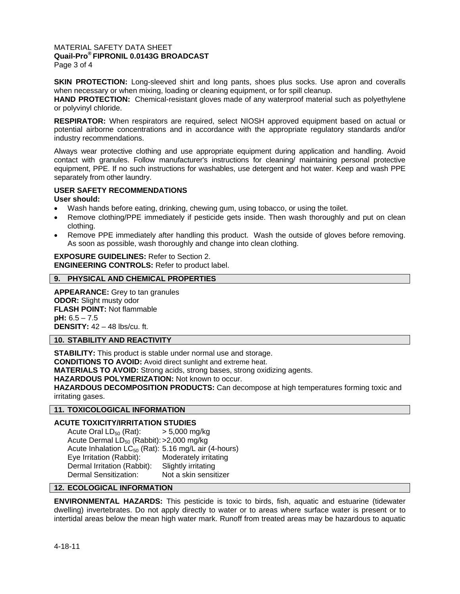### MATERIAL SAFETY DATA SHEET **Quail-Pro® FIPRONIL 0.0143G BROADCAST**  Page 3 of 4

**SKIN PROTECTION:** Long-sleeved shirt and long pants, shoes plus socks. Use apron and coveralls when necessary or when mixing, loading or cleaning equipment, or for spill cleanup.

**HAND PROTECTION:** Chemical-resistant gloves made of any waterproof material such as polyethylene or polyvinyl chloride.

**RESPIRATOR:** When respirators are required, select NIOSH approved equipment based on actual or potential airborne concentrations and in accordance with the appropriate regulatory standards and/or industry recommendations.

Always wear protective clothing and use appropriate equipment during application and handling. Avoid contact with granules. Follow manufacturer's instructions for cleaning/ maintaining personal protective equipment, PPE. If no such instructions for washables, use detergent and hot water. Keep and wash PPE separately from other laundry.

# **USER SAFETY RECOMMENDATIONS**

## **User should:**

- Wash hands before eating, drinking, chewing gum, using tobacco, or using the toilet.
- Remove clothing/PPE immediately if pesticide gets inside. Then wash thoroughly and put on clean clothing.
- Remove PPE immediately after handling this product. Wash the outside of gloves before removing. As soon as possible, wash thoroughly and change into clean clothing.

**EXPOSURE GUIDELINES:** Refer to Section 2. **ENGINEERING CONTROLS:** Refer to product label.

### **9. PHYSICAL AND CHEMICAL PROPERTIES**

**APPEARANCE:** Grey to tan granules **ODOR:** Slight musty odor **FLASH POINT:** Not flammable **pH:** 6.5 – 7.5 **DENSITY:** 42 – 48 lbs/cu. ft.

## **10. STABILITY AND REACTIVITY**

**STABILITY:** This product is stable under normal use and storage.

**CONDITIONS TO AVOID:** Avoid direct sunlight and extreme heat.

**MATERIALS TO AVOID:** Strong acids, strong bases, strong oxidizing agents.

**HAZARDOUS POLYMERIZATION:** Not known to occur.

**HAZARDOUS DECOMPOSITION PRODUCTS:** Can decompose at high temperatures forming toxic and irritating gases.

## **11. TOXICOLOGICAL INFORMATION**

## **ACUTE TOXICITY/IRRITATION STUDIES**

Acute Oral  $LD_{50}$  (Rat):  $> 5,000$  mg/kg Acute Dermal  $LD_{50}$  (Rabbit): >2,000 mg/kg Acute Inhalation  $LC_{50}$  (Rat): 5.16 mg/L air (4-hours)<br>Eye Irritation (Rabbit): Moderately irritating Eye Irritation (Rabbit): Dermal Irritation (Rabbit): Slightly irritating Dermal Sensitization: Not a skin sensitizer

# **12. ECOLOGICAL INFORMATION**

**ENVIRONMENTAL HAZARDS:** This pesticide is toxic to birds, fish, aquatic and estuarine (tidewater dwelling) invertebrates. Do not apply directly to water or to areas where surface water is present or to intertidal areas below the mean high water mark. Runoff from treated areas may be hazardous to aquatic